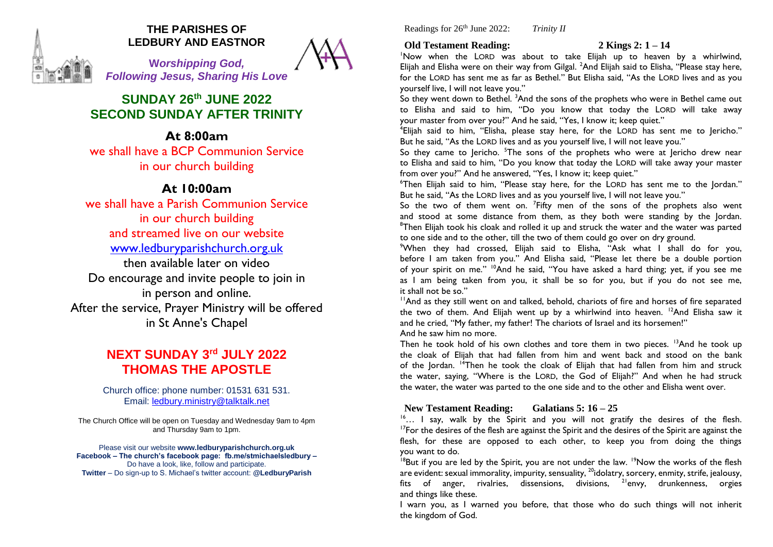

## **THE PARISHES OF LEDBURY AND EASTNOR**

**W***orshipping God, Following Jesus, Sharing His Love*

# **SUNDAY 26th JUNE 2022 SECOND SUNDAY AFTER TRINITY**

**At 8:00am** we shall have a BCP Communion Service

in our church building

# **At 10:00am**

we shall have a Parish Communion Service in our church building and streamed live on our website [www.ledburyparishchurch.org.uk](http://www.ledburyparishchurch.org.uk/) then available later on video Do encourage and invite people to join in in person and online. After the service, Prayer Ministry will be offered in St Anne's Chapel

# **NEXT SUNDAY 3 rd JULY 2022 THOMAS THE APOSTLE**

Church office: phone number: 01531 631 531. Email: [ledbury.ministry@talktalk.net](mailto:ledbury.ministry@talktalk.net)

The Church Office will be open on Tuesday and Wednesday 9am to 4pm and Thursday 9am to 1pm.

Please visit our website **www.ledburyparishchurch.org.uk Facebook – The church's facebook page: fb.me/stmichaelsledbury –** Do have a look, like, follow and participate. **Twitter** – Do sign-up to S. Michael's twitter account: **@LedburyParish**

Readings for 26th June 2022: *Trinity II*

## **Old Testament Reading: 2 Kings 2: 1 – 14**

<sup>1</sup>Now when the LORD was about to take Elijah up to heaven by a whirlwind, Elijah and Elisha were on their way from Gilgal. <sup>2</sup>And Elijah said to Elisha, "Please stay here, for the LORD has sent me as far as Bethel." But Elisha said, "As the LORD lives and as you yourself live, I will not leave you."

So they went down to Bethel. <sup>3</sup>And the sons of the prophets who were in Bethel came out to Elisha and said to him, "Do you know that today the LORD will take away your master from over you?" And he said, "Yes, I know it; keep quiet."

4 Elijah said to him, "Elisha, please stay here, for the LORD has sent me to Jericho." But he said, "As the LORD lives and as you yourself live, I will not leave you."

So they came to Jericho. <sup>5</sup>The sons of the prophets who were at Jericho drew near to Elisha and said to him, "Do you know that today the LORD will take away your master from over you?" And he answered, "Yes, I know it; keep quiet."

<sup>6</sup>Then Elijah said to him, "Please stay here, for the LORD has sent me to the Jordan." But he said, "As the LORD lives and as you yourself live, I will not leave you."

So the two of them went on.  $^7$ Fifty men of the sons of the prophets also went and stood at some distance from them, as they both were standing by the Jordan. <sup>8</sup>Then Elijah took his cloak and rolled it up and struck the water and the water was parted to one side and to the other, till the two of them could go over on dry ground.

<sup>9</sup>When they had crossed, Elijah said to Elisha, "Ask what I shall do for you, before I am taken from you." And Elisha said, "Please let there be a double portion of your spirit on me."  $\frac{10}{2}$  And he said, "You have asked a hard thing; yet, if you see me as I am being taken from you, it shall be so for you, but if you do not see me, it shall not be so."

<sup>11</sup>And as they still went on and talked, behold, chariots of fire and horses of fire separated the two of them. And Elijah went up by a whirlwind into heaven. <sup>12</sup>And Elisha saw it and he cried, "My father, my father! The chariots of Israel and its horsemen!"

And he saw him no more.

Then he took hold of his own clothes and tore them in two pieces. <sup>13</sup>And he took up the cloak of Elijah that had fallen from him and went back and stood on the bank of the Jordan. <sup>14</sup>Then he took the cloak of Elijah that had fallen from him and struck the water, saying, "Where is the LORD, the God of Elijah?" And when he had struck the water, the water was parted to the one side and to the other and Elisha went over.

## **New Testament Reading: Galatians 5: 16 – 25**

<sup>16</sup>... I say, walk by the Spirit and you will not gratify the desires of the flesh.  $17$ For the desires of the flesh are against the Spirit and the desires of the Spirit are against the flesh, for these are opposed to each other, to keep you from doing the things you want to do.

 $18$ But if you are led by the Spirit, you are not under the law. <sup>19</sup>Now the works of the flesh are evident: sexual immorality, impurity, sensuality, <sup>20</sup>idolatry, sorcery, enmity, strife, jealousy, fits of anger, rivalries, dissensions, divisions,  $2^{1}$ envy, drunkenness, orgies and things like these.

I warn you, as I warned you before, that those who do such things will not inherit the kingdom of God.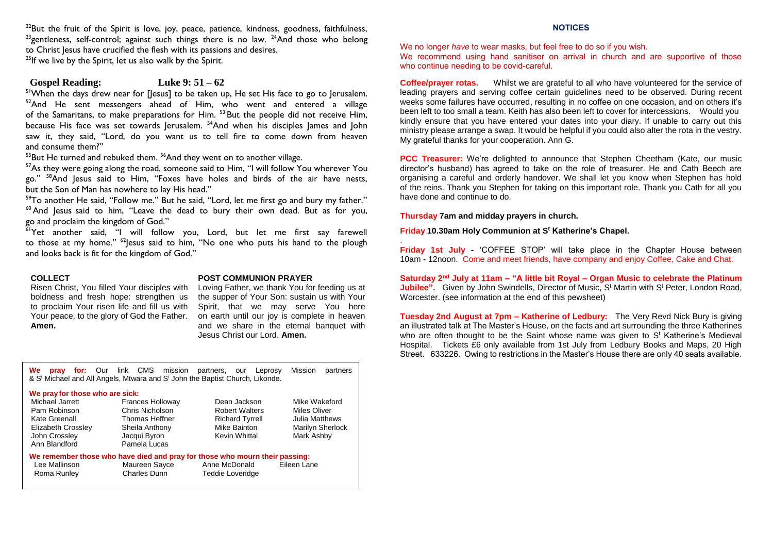$^{22}$ But the fruit of the Spirit is love, joy, peace, patience, kindness, goodness, faithfulness,  $^{23}$ gentleness, self-control; against such things there is no law.  $^{24}$ And those who belong to Christ Jesus have crucified the flesh with its passions and desires.

<sup>25</sup>If we live by the Spirit, let us also walk by the Spirit.

### **Gospel Reading: Luke 9: 51 – 62**

<sup>51</sup>When the days drew near for [Jesus] to be taken up, He set His face to go to Jerusalem. <sup>52</sup>And He sent messengers ahead of Him, who went and entered a village of the Samaritans, to make preparations for Him. <sup>53</sup> But the people did not receive Him, because His face was set towards Jerusalem. <sup>54</sup>And when his disciples James and John saw it, they said, "Lord, do you want us to tell fire to come down from heaven and consume them?"

 $55$ But He turned and rebuked them.  $56$ And they went on to another village.

 $57$ As they were going along the road, someone said to Him, "I will follow You wherever You go." <sup>58</sup>And Jesus said to Him, "Foxes have holes and birds of the air have nests, but the Son of Man has nowhere to lay His head."

 $59$ To another He said, "Follow me." But he said, "Lord, let me first go and bury my father."  $60$  And Jesus said to him, "Leave the dead to bury their own dead. But as for you, go and proclaim the kingdom of God."

 $\frac{61}{1}$ Yet another said, "I will follow you, Lord, but let me first say farewell to those at my home."  $62$  esus said to him, "No one who puts his hand to the plough and looks back is fit for the kingdom of God."

### **COLLECT**

Risen Christ, You filled Your disciples with boldness and fresh hope: strengthen us to proclaim Your risen life and fill us with Your peace, to the glory of God the Father. **Amen.**

#### **POST COMMUNION PRAYER**

Loving Father, we thank You for feeding us at the supper of Your Son: sustain us with Your Spirit, that we may serve You here on earth until our joy is complete in heaven and we share in the eternal banquet with Jesus Christ our Lord. **Amen.**

**We pray for:** Our link CMS mission partners, our Leprosy Mission partners  $\&$  S<sup>t</sup> Michael and All Angels, Mtwara and S<sup>t</sup> John the Baptist Church, Likonde.

#### **We prayfor those who are sick:**

| Michael Jarrett    | <b>Frances Holloway</b>                                                     | Dean Jackson           | Mike Wakeford    |
|--------------------|-----------------------------------------------------------------------------|------------------------|------------------|
| Pam Robinson       | Chris Nicholson                                                             | <b>Robert Walters</b>  | Miles Oliver     |
| Kate Greenall      | Thomas Heffner                                                              | <b>Richard Tyrrell</b> | Julia Matthews   |
| Elizabeth Crossley | Sheila Anthony                                                              | Mike Bainton           | Marilyn Sherlock |
| John Crossley      | Jacqui Byron                                                                | Kevin Whittal          | Mark Ashby       |
| Ann Blandford      | Pamela Lucas                                                                |                        |                  |
|                    | We remember those who have died and pray for those who mourn their passing: |                        |                  |
| Lee Mallinson      | Maureen Sayce                                                               | Anne McDonald          | Eileen Lane      |
| Roma Runley        | <b>Charles Dunn</b>                                                         | Teddie Loveridge       |                  |

### **NOTICES**

We no longer *have* to wear masks, but feel free to do so if you wish.

We recommend using hand sanitiser on arrival in church and are supportive of those who continue needing to be covid-careful.

**Coffee/prayer rotas.** Whilst we are grateful to all who have volunteered for the service of leading prayers and serving coffee certain guidelines need to be observed. During recent weeks some failures have occurred, resulting in no coffee on one occasion, and on others it's been left to too small a team. Keith has also been left to cover for intercessions. Would you kindly ensure that you have entered your dates into your diary. If unable to carry out this ministry please arrange a swap. It would be helpful if you could also alter the rota in the vestry. My grateful thanks for your cooperation. Ann G.

**PCC Treasurer:** We're delighted to announce that Stephen Cheetham (Kate, our music director's husband) has agreed to take on the role of treasurer. He and Cath Beech are organising a careful and orderly handover. We shall let you know when Stephen has hold of the reins. Thank you Stephen for taking on this important role. Thank you Cath for all you have done and continue to do.

**Thursday 7am and midday prayers in church.**

.

**Friday 10.30am Holy Communion at S<sup>t</sup> Katherine's Chapel.**

**Friday 1st July -** 'COFFEE STOP' will take place in the Chapter House between 10am - 12noon. Come and meet friends, have company and enjoy Coffee, Cake and Chat.

**Saturday 2nd July at 11am – "A little bit Royal – Organ Music to celebrate the Platinum Jubilee".** Given by John Swindells, Director of Music, S<sup>t</sup> Martin with S<sup>t</sup> Peter, London Road, Worcester. (see information at the end of this pewsheet)

**Tuesday 2nd August at 7pm – Katherine of Ledbury:** The Very Revd Nick Bury is giving an illustrated talk at The Master's House, on the facts and art surrounding the three Katherines who are often thought to be the Saint whose name was given to St Katherine's Medieval Hospital. Tickets £6 only available from 1st July from Ledbury Books and Maps, 20 High Street. 633226. Owing to restrictions in the Master's House there are only 40 seats available.